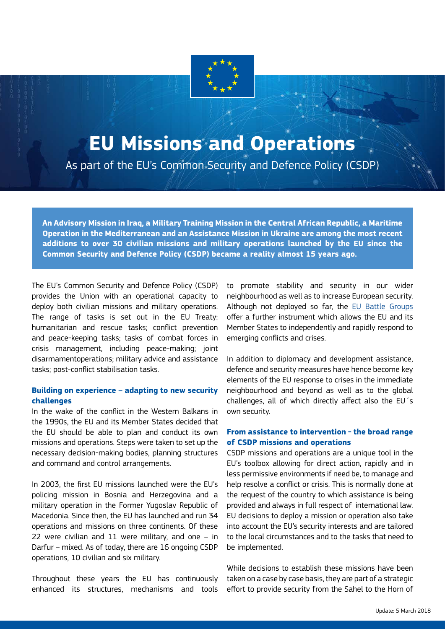

## **EU Missions and Operations**

As part of the EU's Common Security and Defence Policy (CSDP)

**An Advisory Mission in Iraq, a Military Training Mission in the Central African Republic, a Maritime Operation in the Mediterranean and an Assistance Mission in Ukraine are among the most recent additions to over 30 civilian missions and military operations launched by the EU since the Common Security and Defence Policy (CSDP) became a reality almost 15 years ago.** 

The EU's Common Security and Defence Policy (CSDP) provides the Union with an operational capacity to deploy both civilian missions and military operations. The range of tasks is set out in the EU Treaty: humanitarian and rescue tasks; conflict prevention and peace-keeping tasks; tasks of combat forces in crisis management, including peace-making; joint disarmamentoperations; military advice and assistance tasks; post-conflict stabilisation tasks.

## **Building on experience – adapting to new security challenges**

In the wake of the conflict in the Western Balkans in the 1990s, the EU and its Member States decided that the EU should be able to plan and conduct its own missions and operations. Steps were taken to set up the necessary decision-making bodies, planning structures and command and control arrangements.

In 2003, the first EU missions launched were the EU's policing mission in Bosnia and Herzegovina and a military operation in the Former Yugoslav Republic of Macedonia. Since then, the EU has launched and run 34 operations and missions on three continents. Of these 22 were civilian and 11 were military, and one – in Darfur – mixed. As of today, there are 16 ongoing CSDP operations, 10 civilian and six military.

Throughout these years the EU has continuously enhanced its structures, mechanisms and tools to promote stability and security in our wider neighbourhood as well as to increase European security. Although not deployed so far, the [EU Battle Groups](https://eeas.europa.eu/sites/eeas/files/factsheet_battlegroups.pdf) offer a further instrument which allows the EU and its Member States to independently and rapidly respond to emerging conflicts and crises.

In addition to diplomacy and development assistance, defence and security measures have hence become key elements of the EU response to crises in the immediate neighbourhood and beyond as well as to the global challenges, all of which directly affect also the EU´s own security.

## **From assistance to intervention - the broad range of CSDP missions and operations**

CSDP missions and operations are a unique tool in the EU's toolbox allowing for direct action, rapidly and in less permissive environments if need be, to manage and help resolve a conflict or crisis. This is normally done at the request of the country to which assistance is being provided and always in full respect of international law. EU decisions to deploy a mission or operation also take into account the EU's security interests and are tailored to the local circumstances and to the tasks that need to be implemented.

While decisions to establish these missions have been taken on a case by case basis, they are part of a strategic effort to provide security from the Sahel to the Horn of